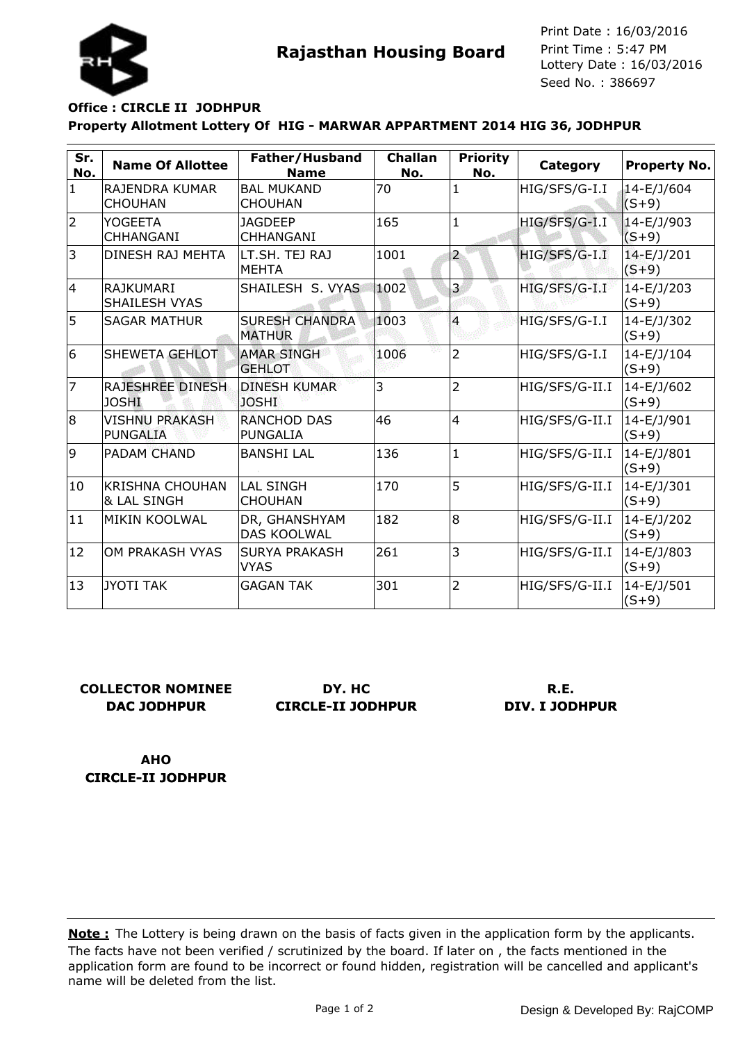



Seed No. : 386697 Print Date : 16/03/2016 Print Time : 5:47 PM

# **Property Allotment Lottery Of HIG - MARWAR APPARTMENT 2014 HIG 36, JODHPUR Office : CIRCLE II JODHPUR**

| Sr.<br>No.     | <b>Name Of Allottee</b>                          | Father/Husband<br><b>Name</b>          | <b>Challan</b><br>No. | <b>Priority</b><br>No. | Category       | <b>Property No.</b>   |
|----------------|--------------------------------------------------|----------------------------------------|-----------------------|------------------------|----------------|-----------------------|
| $\mathbf{1}$   | RAJENDRA KUMAR<br><b>CHOUHAN</b>                 | <b>BAL MUKAND</b><br><b>CHOUHAN</b>    | 70                    | $\mathbf{1}$           | HIG/SFS/G-I.I  | 14-E/J/604<br>$(S+9)$ |
| $\overline{2}$ | <b>YOGEETA</b><br><b>CHHANGANI</b>               | <b>JAGDEEP</b><br>CHHANGANI            | 165                   | $\mathbf{1}$           | HIG/SFS/G-I.I  | 14-E/J/903<br>$(S+9)$ |
| 3              | DINESH RAJ MEHTA                                 | LT.SH. TEJ RAJ<br><b>MEHTA</b>         | 1001                  | $\overline{a}$         | HIG/SFS/G-I.I  | 14-E/J/201<br>$(S+9)$ |
| 14             | <b>RAJKUMARI</b><br><b>SHAILESH VYAS</b>         | SHAILESH S. VYAS                       | 1002                  | 3                      | HIG/SFS/G-I.I  | 14-E/J/203<br>$(S+9)$ |
| 5              | <b>SAGAR MATHUR</b>                              | <b>SURESH CHANDRA</b><br><b>MATHUR</b> | 1003                  | $\overline{4}$         | HIG/SFS/G-I.I  | 14-E/J/302<br>$(S+9)$ |
| 6              | SHEWETA GEHLOT                                   | <b>AMAR SINGH</b><br><b>GEHLOT</b>     | 1006                  | $\overline{2}$         | HIG/SFS/G-I.I  | 14-E/J/104<br>$(S+9)$ |
| 7              | <b>RAJESHREE DINESH</b><br><b>JOSHI</b>          | <b>DINESH KUMAR</b><br><b>JOSHI</b>    | 3                     | $\overline{2}$         | HIG/SFS/G-II.I | 14-E/J/602<br>$(S+9)$ |
| 8              | <b>VISHNU PRAKASH</b><br><b>PUNGALIA</b>         | <b>RANCHOD DAS</b><br><b>PUNGALIA</b>  | 46                    | $\overline{4}$         | HIG/SFS/G-II.I | 14-E/J/901<br>$(S+9)$ |
| 9              | PADAM CHAND                                      | <b>BANSHI LAL</b>                      | 136                   | $\mathbf{1}$           | HIG/SFS/G-II.I | 14-E/J/801<br>$(S+9)$ |
| 10             | <b>KRISHNA CHOUHAN</b><br><b>&amp; LAL SINGH</b> | <b>LAL SINGH</b><br><b>CHOUHAN</b>     | 170                   | 5                      | HIG/SFS/G-II.I | 14-E/J/301<br>$(S+9)$ |
| 11             | MIKIN KOOLWAL                                    | DR, GHANSHYAM<br><b>DAS KOOLWAL</b>    | 182                   | 8                      | HIG/SFS/G-II.I | 14-E/J/202<br>$(S+9)$ |
| 12             | OM PRAKASH VYAS                                  | <b>SURYA PRAKASH</b><br><b>VYAS</b>    | 261                   | 3                      | HIG/SFS/G-II.I | 14-E/J/803<br>$(S+9)$ |
| 13             | <b>JYOTI TAK</b>                                 | <b>GAGAN TAK</b>                       | 301                   | $\overline{2}$         | HIG/SFS/G-II.I | 14-E/J/501<br>$(S+9)$ |

## **COLLECTOR NOMINEE DAC JODHPUR**

**DY. HC CIRCLE-II JODHPUR**

## **R.E. DIV. I JODHPUR**

**AHO CIRCLE-II JODHPUR**

The facts have not been verified / scrutinized by the board. If later on , the facts mentioned in the application form are found to be incorrect or found hidden, registration will be cancelled and applicant's name will be deleted from the list. **Note :** The Lottery is being drawn on the basis of facts given in the application form by the applicants.